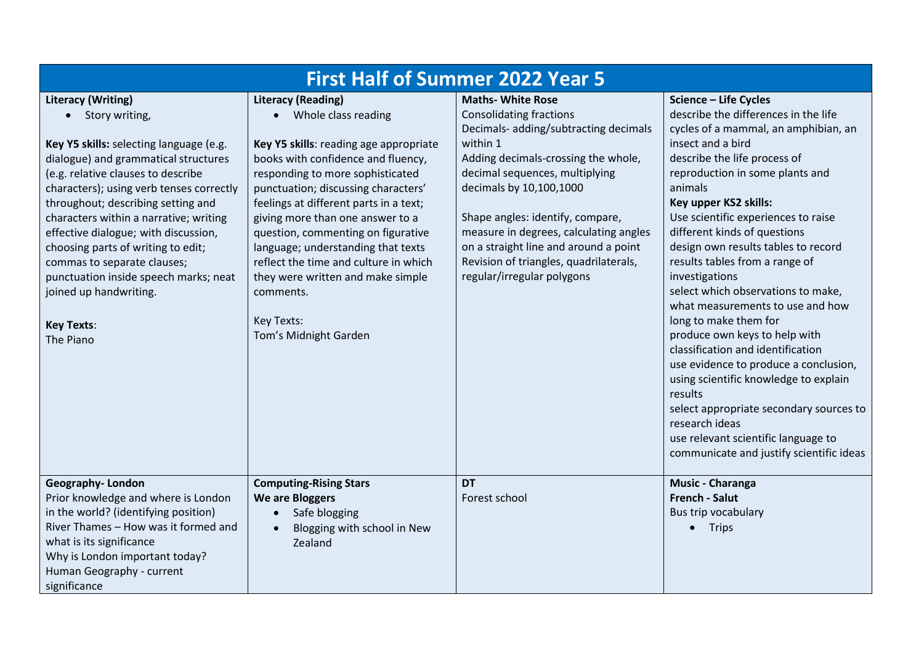| <b>First Half of Summer 2022 Year 5</b>                                                                                                                                                                                                                                                                                                                                                                                                                                                                              |                                                                                                                                                                                                                                                                                                                                                                                                                                                                                                           |                                                                                                                                                                                                                                                                                                                                                                                                                    |                                                                                                                                                                                                                                                                                                                                                                                                                                                                                                                                                                                                                                                                                                                                                                                                                           |  |
|----------------------------------------------------------------------------------------------------------------------------------------------------------------------------------------------------------------------------------------------------------------------------------------------------------------------------------------------------------------------------------------------------------------------------------------------------------------------------------------------------------------------|-----------------------------------------------------------------------------------------------------------------------------------------------------------------------------------------------------------------------------------------------------------------------------------------------------------------------------------------------------------------------------------------------------------------------------------------------------------------------------------------------------------|--------------------------------------------------------------------------------------------------------------------------------------------------------------------------------------------------------------------------------------------------------------------------------------------------------------------------------------------------------------------------------------------------------------------|---------------------------------------------------------------------------------------------------------------------------------------------------------------------------------------------------------------------------------------------------------------------------------------------------------------------------------------------------------------------------------------------------------------------------------------------------------------------------------------------------------------------------------------------------------------------------------------------------------------------------------------------------------------------------------------------------------------------------------------------------------------------------------------------------------------------------|--|
| <b>Literacy (Writing)</b><br>• Story writing,<br>Key Y5 skills: selecting language (e.g.<br>dialogue) and grammatical structures<br>(e.g. relative clauses to describe<br>characters); using verb tenses correctly<br>throughout; describing setting and<br>characters within a narrative; writing<br>effective dialogue; with discussion,<br>choosing parts of writing to edit;<br>commas to separate clauses;<br>punctuation inside speech marks; neat<br>joined up handwriting.<br><b>Key Texts:</b><br>The Piano | <b>Literacy (Reading)</b><br>• Whole class reading<br>Key Y5 skills: reading age appropriate<br>books with confidence and fluency,<br>responding to more sophisticated<br>punctuation; discussing characters'<br>feelings at different parts in a text;<br>giving more than one answer to a<br>question, commenting on figurative<br>language; understanding that texts<br>reflect the time and culture in which<br>they were written and make simple<br>comments.<br>Key Texts:<br>Tom's Midnight Garden | <b>Maths- White Rose</b><br><b>Consolidating fractions</b><br>Decimals- adding/subtracting decimals<br>within 1<br>Adding decimals-crossing the whole,<br>decimal sequences, multiplying<br>decimals by 10,100,1000<br>Shape angles: identify, compare,<br>measure in degrees, calculating angles<br>on a straight line and around a point<br>Revision of triangles, quadrilaterals,<br>regular/irregular polygons | Science - Life Cycles<br>describe the differences in the life<br>cycles of a mammal, an amphibian, an<br>insect and a bird<br>describe the life process of<br>reproduction in some plants and<br>animals<br>Key upper KS2 skills:<br>Use scientific experiences to raise<br>different kinds of questions<br>design own results tables to record<br>results tables from a range of<br>investigations<br>select which observations to make,<br>what measurements to use and how<br>long to make them for<br>produce own keys to help with<br>classification and identification<br>use evidence to produce a conclusion,<br>using scientific knowledge to explain<br>results<br>select appropriate secondary sources to<br>research ideas<br>use relevant scientific language to<br>communicate and justify scientific ideas |  |
| <b>Geography-London</b><br>Prior knowledge and where is London<br>in the world? (identifying position)<br>River Thames - How was it formed and<br>what is its significance<br>Why is London important today?<br>Human Geography - current<br>significance                                                                                                                                                                                                                                                            | <b>Computing-Rising Stars</b><br><b>We are Bloggers</b><br>Safe blogging<br>$\bullet$<br>Blogging with school in New<br>$\bullet$<br>Zealand                                                                                                                                                                                                                                                                                                                                                              | <b>DT</b><br>Forest school                                                                                                                                                                                                                                                                                                                                                                                         | <b>Music - Charanga</b><br><b>French - Salut</b><br>Bus trip vocabulary<br>$\bullet$ Trips                                                                                                                                                                                                                                                                                                                                                                                                                                                                                                                                                                                                                                                                                                                                |  |